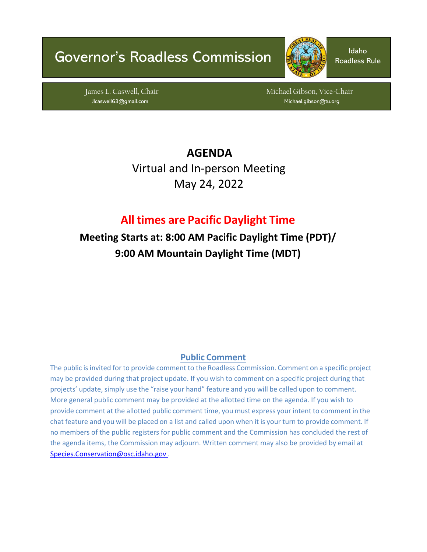# Governor's Roadless Commission **Institute** Roadless



Roadless Rule

James L. Caswell, Chair Michael Gibson, Vice-Chair Michael Gibson, Vice-Chair Jlcaswell63@gmail.com Michael.gibson@tu.org

> **AGENDA**  Virtual and In-person Meeting May 24, 2022

# **All times are Pacific Daylight Time**

**Meeting Starts at: 8:00 AM Pacific Daylight Time (PDT)/ 9:00 AM Mountain Daylight Time (MDT)**

## **Public Comment**

The public is invited for to provide comment to the Roadless Commission. Comment on a specific project may be provided during that project update. If you wish to comment on a specific project during that projects' update, simply use the "raise your hand" feature and you will be called upon to comment. More general public comment may be provided at the allotted time on the agenda. If you wish to provide comment at the allotted public comment time, you must express your intent to comment in the chat feature and you will be placed on a list and called upon when it is your turn to provide comment. If no members of the public registers for public comment and the Commission has concluded the rest of the agenda items, the Commission may adjourn. Written comment may also be provided by email at [Species.Conservation@osc.idaho.gov](mailto:Species.Conservation@osc.idaho.gov) .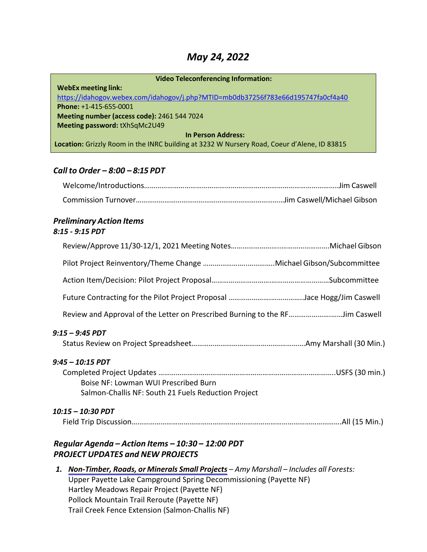# *May 24, 2022*

| <b>Video Teleconferencing Information:</b>                                                  |  |  |
|---------------------------------------------------------------------------------------------|--|--|
| <b>WebEx meeting link:</b>                                                                  |  |  |
| https://idahogov.webex.com/idahogov/j.php?MTID=mb0db37256f783e66d195747fa0cf4a40            |  |  |
| Phone: +1-415-655-0001                                                                      |  |  |
| Meeting number (access code): 2461 544 7024                                                 |  |  |
| Meeting password: tXhSqMc2U49                                                               |  |  |
| <b>In Person Address:</b>                                                                   |  |  |
| Location: Grizzly Room in the INRC building at 3232 W Nursery Road, Coeur d'Alene, ID 83815 |  |  |

#### *Call to Order – 8:00 – 8:15 PDT*

#### *Preliminary Action Items 8:15 - 9:15 PDT*

| Review and Approval of the Letter on Prescribed Burning to the RFJim Caswell                                    |  |
|-----------------------------------------------------------------------------------------------------------------|--|
| 9:15 – 9:45 PDT                                                                                                 |  |
| 9:45 - 10:15 PDT<br>Boise NF: Lowman WUI Prescribed Burn<br>Salmon-Challis NF: South 21 Fuels Reduction Project |  |
| 10:15 – 10:30 PDT                                                                                               |  |
| Regular Agenda - Action Items - 10:30 - 12:00 PDT<br><b>PROJECT UPDATES and NEW PROJECTS</b>                    |  |
| 1. Non-Timber, Roads, or Minerals Small Projects - Amy Marshall - Includes all Forests:                         |  |

Upper Payette Lake Campground Spring Decommissioning (Payette NF) Hartley Meadows Repair Project (Payette NF) Pollock Mountain Trail Reroute (Payette NF) Trail Creek Fence Extension (Salmon-Challis NF)